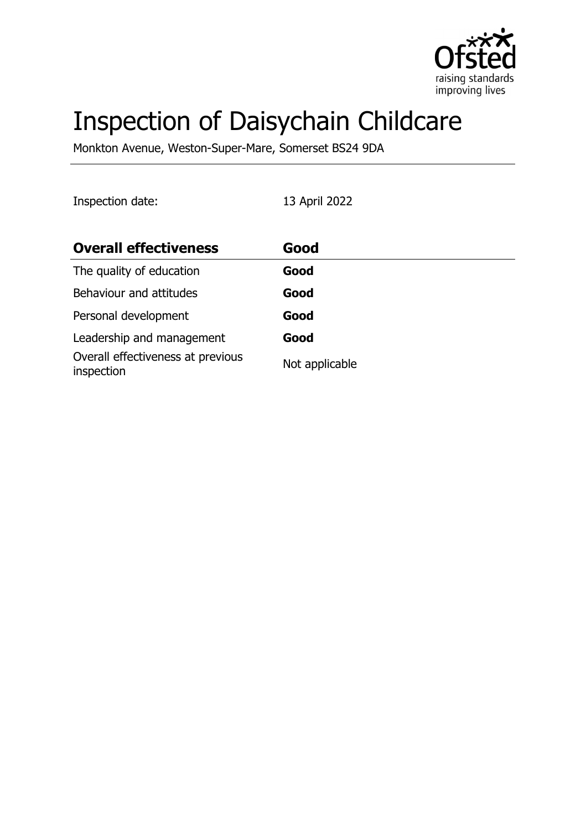

# Inspection of Daisychain Childcare

Monkton Avenue, Weston-Super-Mare, Somerset BS24 9DA

Inspection date: 13 April 2022

| <b>Overall effectiveness</b>                    | Good           |
|-------------------------------------------------|----------------|
| The quality of education                        | Good           |
| Behaviour and attitudes                         | Good           |
| Personal development                            | Good           |
| Leadership and management                       | Good           |
| Overall effectiveness at previous<br>inspection | Not applicable |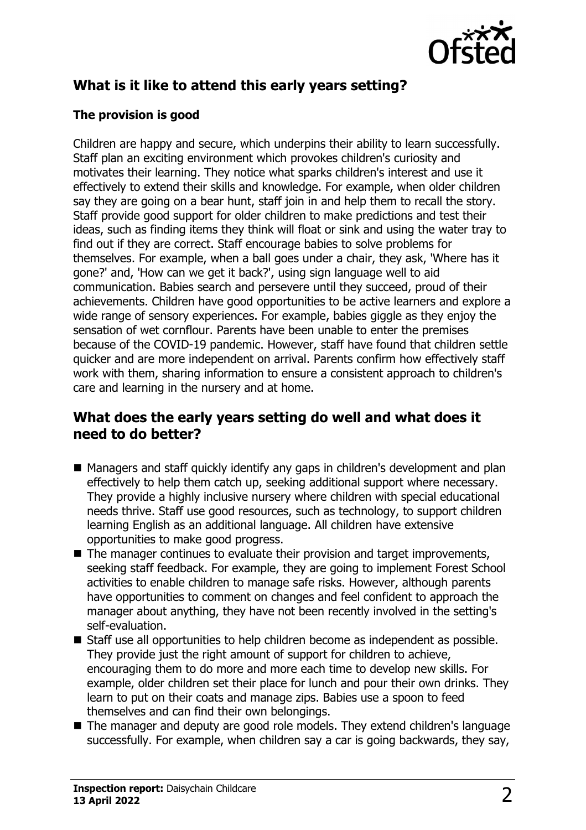

# **What is it like to attend this early years setting?**

#### **The provision is good**

Children are happy and secure, which underpins their ability to learn successfully. Staff plan an exciting environment which provokes children's curiosity and motivates their learning. They notice what sparks children's interest and use it effectively to extend their skills and knowledge. For example, when older children say they are going on a bear hunt, staff join in and help them to recall the story. Staff provide good support for older children to make predictions and test their ideas, such as finding items they think will float or sink and using the water tray to find out if they are correct. Staff encourage babies to solve problems for themselves. For example, when a ball goes under a chair, they ask, 'Where has it gone?' and, 'How can we get it back?', using sign language well to aid communication. Babies search and persevere until they succeed, proud of their achievements. Children have good opportunities to be active learners and explore a wide range of sensory experiences. For example, babies giggle as they enjoy the sensation of wet cornflour. Parents have been unable to enter the premises because of the COVID-19 pandemic. However, staff have found that children settle quicker and are more independent on arrival. Parents confirm how effectively staff work with them, sharing information to ensure a consistent approach to children's care and learning in the nursery and at home.

#### **What does the early years setting do well and what does it need to do better?**

- Managers and staff quickly identify any gaps in children's development and plan effectively to help them catch up, seeking additional support where necessary. They provide a highly inclusive nursery where children with special educational needs thrive. Staff use good resources, such as technology, to support children learning English as an additional language. All children have extensive opportunities to make good progress.
- $\blacksquare$  The manager continues to evaluate their provision and target improvements, seeking staff feedback. For example, they are going to implement Forest School activities to enable children to manage safe risks. However, although parents have opportunities to comment on changes and feel confident to approach the manager about anything, they have not been recently involved in the setting's self-evaluation.
- $\blacksquare$  Staff use all opportunities to help children become as independent as possible. They provide just the right amount of support for children to achieve, encouraging them to do more and more each time to develop new skills. For example, older children set their place for lunch and pour their own drinks. They learn to put on their coats and manage zips. Babies use a spoon to feed themselves and can find their own belongings.
- The manager and deputy are good role models. They extend children's language successfully. For example, when children say a car is going backwards, they say,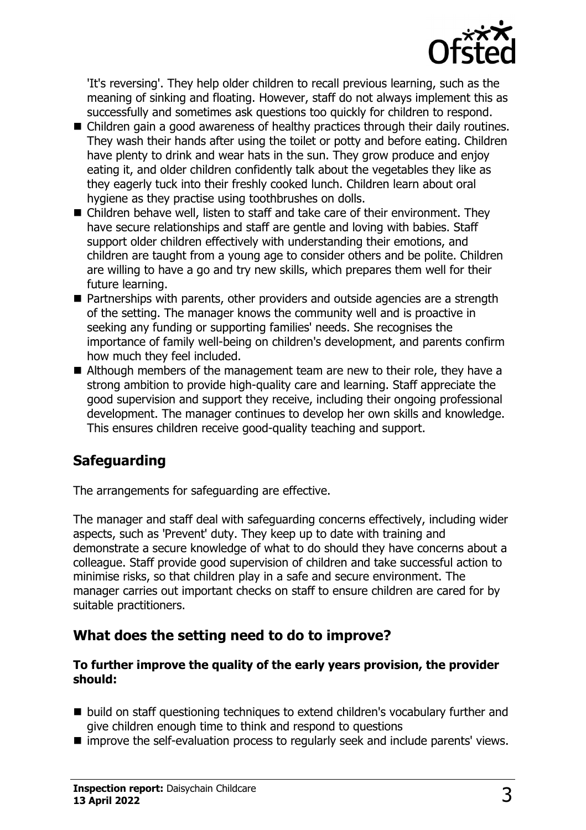

'It's reversing'. They help older children to recall previous learning, such as the meaning of sinking and floating. However, staff do not always implement this as successfully and sometimes ask questions too quickly for children to respond.

- Children gain a good awareness of healthy practices through their daily routines. They wash their hands after using the toilet or potty and before eating. Children have plenty to drink and wear hats in the sun. They grow produce and enjoy eating it, and older children confidently talk about the vegetables they like as they eagerly tuck into their freshly cooked lunch. Children learn about oral hygiene as they practise using toothbrushes on dolls.
- $\blacksquare$  Children behave well, listen to staff and take care of their environment. They have secure relationships and staff are gentle and loving with babies. Staff support older children effectively with understanding their emotions, and children are taught from a young age to consider others and be polite. Children are willing to have a go and try new skills, which prepares them well for their future learning.
- Partnerships with parents, other providers and outside agencies are a strength of the setting. The manager knows the community well and is proactive in seeking any funding or supporting families' needs. She recognises the importance of family well-being on children's development, and parents confirm how much they feel included.
- $\blacksquare$  Although members of the management team are new to their role, they have a strong ambition to provide high-quality care and learning. Staff appreciate the good supervision and support they receive, including their ongoing professional development. The manager continues to develop her own skills and knowledge. This ensures children receive good-quality teaching and support.

# **Safeguarding**

The arrangements for safeguarding are effective.

The manager and staff deal with safeguarding concerns effectively, including wider aspects, such as 'Prevent' duty. They keep up to date with training and demonstrate a secure knowledge of what to do should they have concerns about a colleague. Staff provide good supervision of children and take successful action to minimise risks, so that children play in a safe and secure environment. The manager carries out important checks on staff to ensure children are cared for by suitable practitioners.

## **What does the setting need to do to improve?**

#### **To further improve the quality of the early years provision, the provider should:**

- build on staff questioning techniques to extend children's vocabulary further and give children enough time to think and respond to questions
- improve the self-evaluation process to regularly seek and include parents' views.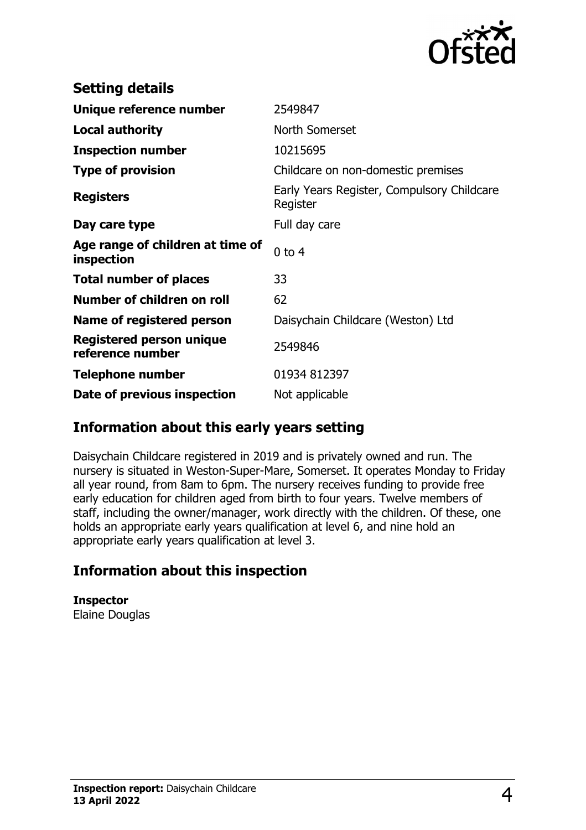

| <b>Setting details</b>                         |                                                        |
|------------------------------------------------|--------------------------------------------------------|
| Unique reference number                        | 2549847                                                |
| <b>Local authority</b>                         | North Somerset                                         |
| <b>Inspection number</b>                       | 10215695                                               |
| <b>Type of provision</b>                       | Childcare on non-domestic premises                     |
| <b>Registers</b>                               | Early Years Register, Compulsory Childcare<br>Register |
| Day care type                                  | Full day care                                          |
| Age range of children at time of<br>inspection | $0$ to $4$                                             |
| <b>Total number of places</b>                  | 33                                                     |
| Number of children on roll                     | 62                                                     |
| Name of registered person                      | Daisychain Childcare (Weston) Ltd                      |
| Registered person unique<br>reference number   | 2549846                                                |
| <b>Telephone number</b>                        | 01934 812397                                           |
| Date of previous inspection                    | Not applicable                                         |

### **Information about this early years setting**

Daisychain Childcare registered in 2019 and is privately owned and run. The nursery is situated in Weston-Super-Mare, Somerset. It operates Monday to Friday all year round, from 8am to 6pm. The nursery receives funding to provide free early education for children aged from birth to four years. Twelve members of staff, including the owner/manager, work directly with the children. Of these, one holds an appropriate early years qualification at level 6, and nine hold an appropriate early years qualification at level 3.

## **Information about this inspection**

**Inspector** Elaine Douglas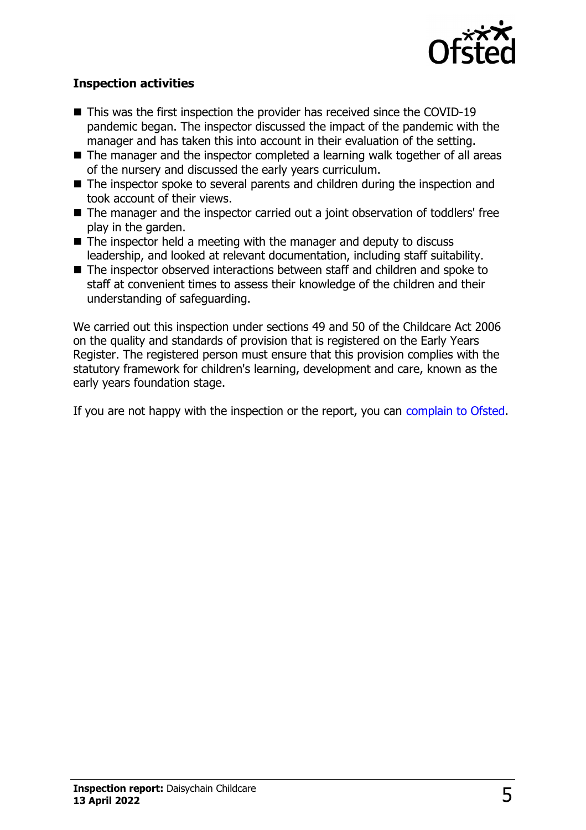

#### **Inspection activities**

- $\blacksquare$  This was the first inspection the provider has received since the COVID-19 pandemic began. The inspector discussed the impact of the pandemic with the manager and has taken this into account in their evaluation of the setting.
- $\blacksquare$  The manager and the inspector completed a learning walk together of all areas of the nursery and discussed the early years curriculum.
- $\blacksquare$  The inspector spoke to several parents and children during the inspection and took account of their views.
- The manager and the inspector carried out a joint observation of toddlers' free play in the garden.
- $\blacksquare$  The inspector held a meeting with the manager and deputy to discuss leadership, and looked at relevant documentation, including staff suitability.
- The inspector observed interactions between staff and children and spoke to staff at convenient times to assess their knowledge of the children and their understanding of safeguarding.

We carried out this inspection under sections 49 and 50 of the Childcare Act 2006 on the quality and standards of provision that is registered on the Early Years Register. The registered person must ensure that this provision complies with the statutory framework for children's learning, development and care, known as the early years foundation stage.

If you are not happy with the inspection or the report, you can [complain to Ofsted](http://www.gov.uk/complain-ofsted-report).